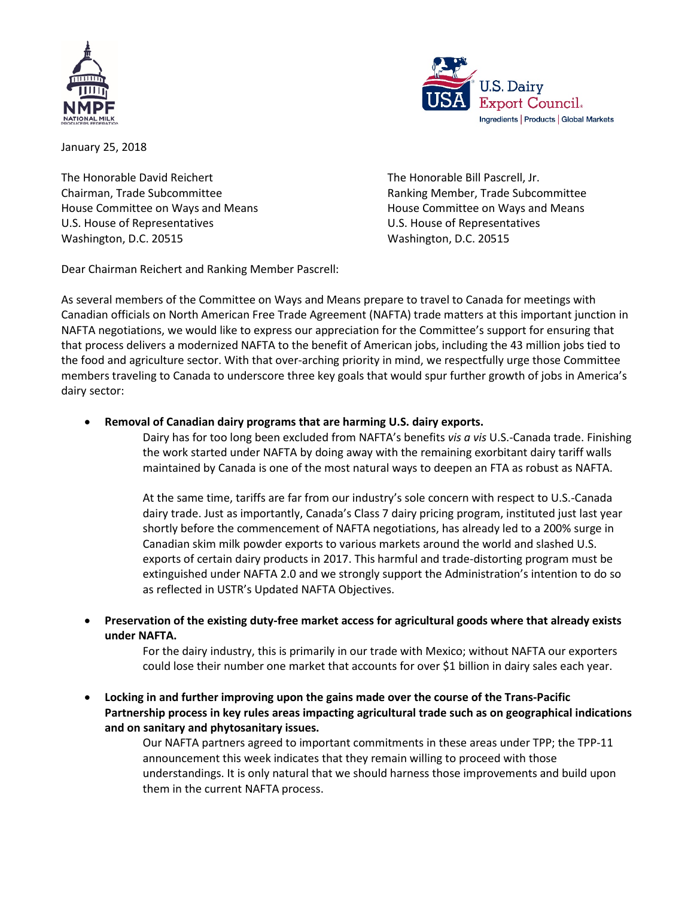



January 25, 2018

The Honorable David Reichert The Honorable Bill Pascrell, Jr. House Committee on Ways and Means **House Committee on Ways and Means** U.S. House of Representatives U.S. House of Representatives Washington, D.C. 20515 Washington, D.C. 20515

Chairman, Trade Subcommittee **Ranking Member, Trade Subcommittee** Ranking Member, Trade Subcommittee

Dear Chairman Reichert and Ranking Member Pascrell:

As several members of the Committee on Ways and Means prepare to travel to Canada for meetings with Canadian officials on North American Free Trade Agreement (NAFTA) trade matters at this important junction in NAFTA negotiations, we would like to express our appreciation for the Committee's support for ensuring that that process delivers a modernized NAFTA to the benefit of American jobs, including the 43 million jobs tied to the food and agriculture sector. With that over-arching priority in mind, we respectfully urge those Committee members traveling to Canada to underscore three key goals that would spur further growth of jobs in America's dairy sector:

## • **Removal of Canadian dairy programs that are harming U.S. dairy exports.**

Dairy has for too long been excluded from NAFTA's benefits *vis a vis* U.S.-Canada trade. Finishing the work started under NAFTA by doing away with the remaining exorbitant dairy tariff walls maintained by Canada is one of the most natural ways to deepen an FTA as robust as NAFTA.

At the same time, tariffs are far from our industry's sole concern with respect to U.S.-Canada dairy trade. Just as importantly, Canada's Class 7 dairy pricing program, instituted just last year shortly before the commencement of NAFTA negotiations, has already led to a 200% surge in Canadian skim milk powder exports to various markets around the world and slashed U.S. exports of certain dairy products in 2017. This harmful and trade-distorting program must be extinguished under NAFTA 2.0 and we strongly support the Administration's intention to do so as reflected in USTR's Updated NAFTA Objectives.

• **Preservation of the existing duty-free market access for agricultural goods where that already exists under NAFTA.** 

> For the dairy industry, this is primarily in our trade with Mexico; without NAFTA our exporters could lose their number one market that accounts for over \$1 billion in dairy sales each year.

• **Locking in and further improving upon the gains made over the course of the Trans-Pacific Partnership process in key rules areas impacting agricultural trade such as on geographical indications and on sanitary and phytosanitary issues.** 

Our NAFTA partners agreed to important commitments in these areas under TPP; the TPP-11 announcement this week indicates that they remain willing to proceed with those understandings. It is only natural that we should harness those improvements and build upon them in the current NAFTA process.